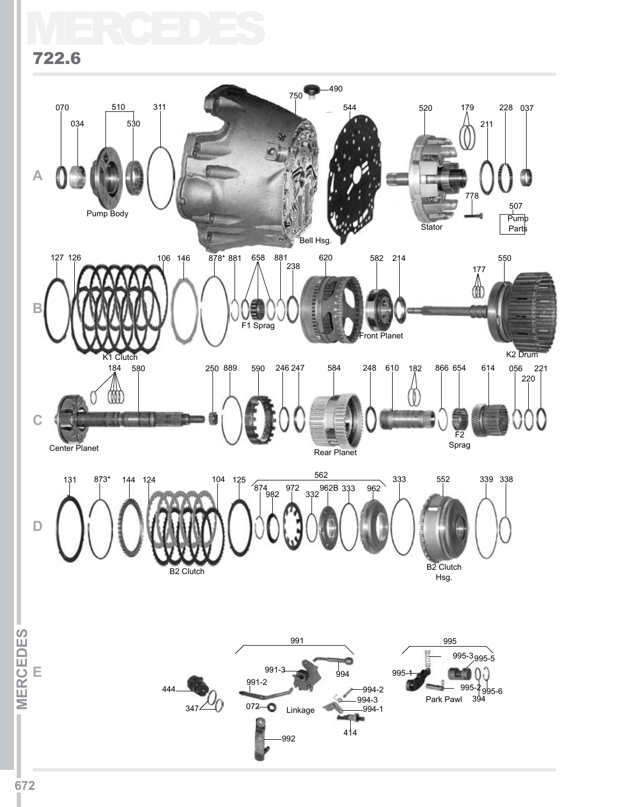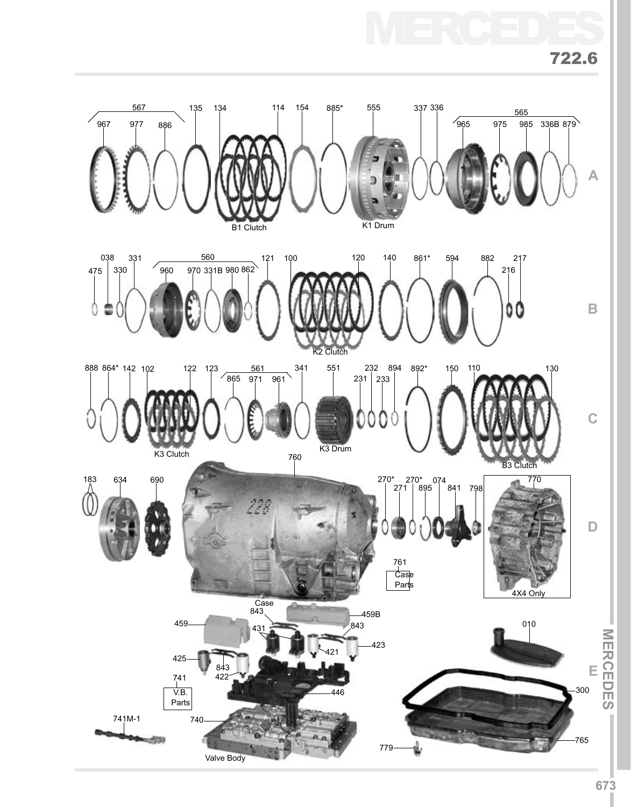



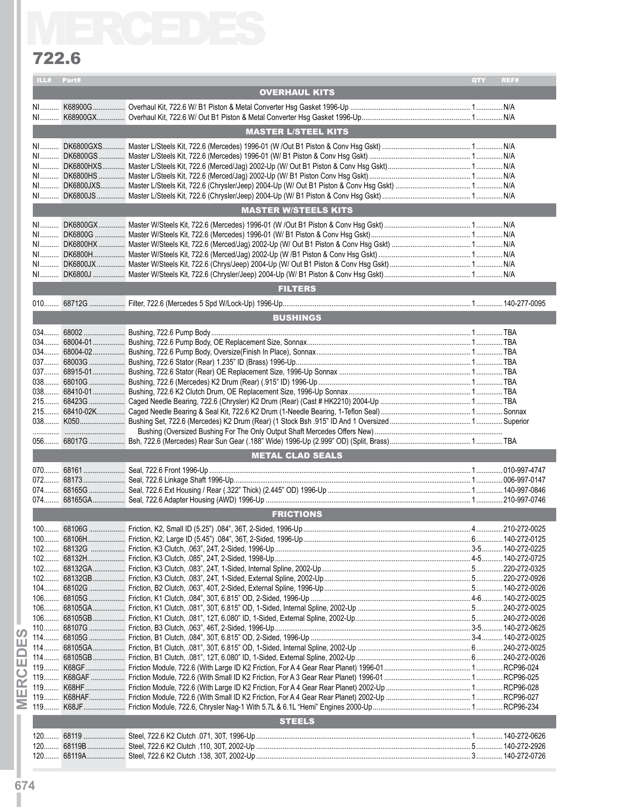### 722.6

| 722.6 |            |                             |                     |
|-------|------------|-----------------------------|---------------------|
|       | ILL# Part# |                             | QTY<br>REF#         |
|       |            | <b>OVERHAUL KITS</b>        |                     |
|       |            |                             |                     |
|       |            |                             |                     |
|       |            | <b>MASTER L/STEEL KITS</b>  |                     |
|       |            |                             |                     |
|       |            |                             |                     |
|       |            |                             |                     |
|       |            |                             |                     |
|       |            |                             |                     |
|       |            | <b>MASTER W/STEELS KITS</b> |                     |
|       |            |                             |                     |
|       |            |                             |                     |
|       |            |                             |                     |
|       |            |                             |                     |
|       |            |                             |                     |
|       |            |                             |                     |
|       |            | <b>FILTERS</b>              |                     |
|       |            |                             |                     |
|       |            | <b>BUSHINGS</b>             |                     |
|       |            |                             |                     |
|       |            |                             |                     |
|       |            |                             |                     |
|       |            |                             |                     |
|       |            |                             |                     |
|       |            |                             |                     |
|       |            |                             |                     |
|       |            |                             |                     |
|       |            |                             |                     |
|       |            |                             |                     |
|       |            | <b>METAL CLAD SEALS</b>     |                     |
| 070.  | 68161      | Seal, 722.6 Front 1996-Up   | 010-997-4747<br>. 1 |
|       |            |                             |                     |
|       |            |                             |                     |
|       |            |                             |                     |
|       |            | <b>FRICTIONS</b>            |                     |
|       |            |                             |                     |
|       |            |                             |                     |
|       |            |                             |                     |
|       |            |                             |                     |
|       |            |                             |                     |
|       |            |                             |                     |
|       |            |                             |                     |
|       |            |                             |                     |
|       |            |                             |                     |
|       |            |                             |                     |
|       |            |                             |                     |
|       |            |                             |                     |
|       |            |                             |                     |
|       |            |                             |                     |
|       |            |                             |                     |
|       |            |                             |                     |
|       |            | <b>STEELS</b>               |                     |
|       |            |                             |                     |
|       |            |                             |                     |
|       |            |                             |                     |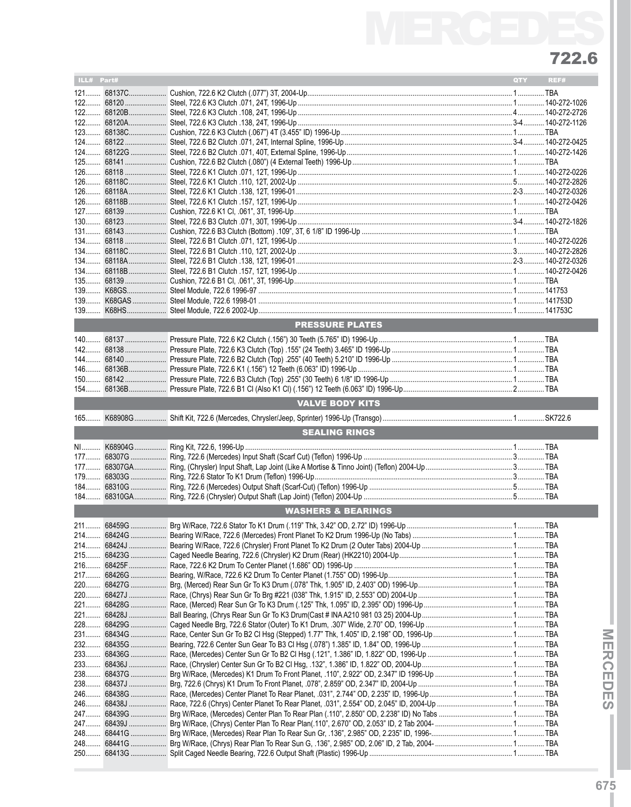# MERCEDES 722.6

| ILL# Part# |            |                               | QTY | REF# |  |  |  |  |
|------------|------------|-------------------------------|-----|------|--|--|--|--|
|            |            |                               |     |      |  |  |  |  |
|            | 121 68137C |                               |     |      |  |  |  |  |
|            |            |                               |     |      |  |  |  |  |
|            |            |                               |     |      |  |  |  |  |
|            |            |                               |     |      |  |  |  |  |
|            |            |                               |     |      |  |  |  |  |
|            |            |                               |     |      |  |  |  |  |
|            |            |                               |     |      |  |  |  |  |
|            |            |                               |     |      |  |  |  |  |
|            |            |                               |     |      |  |  |  |  |
|            |            |                               |     |      |  |  |  |  |
|            |            |                               |     |      |  |  |  |  |
|            |            |                               |     |      |  |  |  |  |
|            |            |                               |     |      |  |  |  |  |
|            |            |                               |     |      |  |  |  |  |
|            |            |                               |     |      |  |  |  |  |
|            |            |                               |     |      |  |  |  |  |
|            |            |                               |     |      |  |  |  |  |
|            |            |                               |     |      |  |  |  |  |
|            |            |                               |     |      |  |  |  |  |
|            |            |                               |     |      |  |  |  |  |
|            |            |                               |     |      |  |  |  |  |
|            |            |                               |     |      |  |  |  |  |
|            |            |                               |     |      |  |  |  |  |
|            |            |                               |     |      |  |  |  |  |
|            |            | <b>PRESSURE PLATES</b>        |     |      |  |  |  |  |
|            |            |                               |     |      |  |  |  |  |
|            |            |                               |     |      |  |  |  |  |
|            |            |                               |     |      |  |  |  |  |
|            |            |                               |     |      |  |  |  |  |
|            |            |                               |     |      |  |  |  |  |
|            |            |                               |     |      |  |  |  |  |
|            |            |                               |     |      |  |  |  |  |
|            |            | <b>VALVE BODY KITS</b>        |     |      |  |  |  |  |
| $165$      |            |                               |     |      |  |  |  |  |
|            |            | <b>SEALING RINGS</b>          |     |      |  |  |  |  |
|            |            |                               |     |      |  |  |  |  |
|            |            |                               |     |      |  |  |  |  |
|            |            |                               |     |      |  |  |  |  |
| $177$      |            |                               |     |      |  |  |  |  |
|            |            |                               |     |      |  |  |  |  |
|            |            |                               |     |      |  |  |  |  |
|            |            |                               |     |      |  |  |  |  |
|            |            | <b>WASHERS &amp; BEARINGS</b> |     |      |  |  |  |  |
|            |            |                               |     |      |  |  |  |  |
|            |            |                               |     |      |  |  |  |  |
|            |            |                               |     |      |  |  |  |  |
|            |            |                               |     |      |  |  |  |  |
|            |            |                               |     |      |  |  |  |  |
|            |            |                               |     |      |  |  |  |  |
|            |            |                               |     |      |  |  |  |  |
|            |            |                               |     |      |  |  |  |  |
|            |            |                               |     |      |  |  |  |  |
|            |            |                               |     |      |  |  |  |  |
|            |            |                               |     |      |  |  |  |  |
|            |            |                               |     |      |  |  |  |  |
|            |            |                               |     |      |  |  |  |  |
|            |            |                               |     |      |  |  |  |  |
|            |            |                               |     |      |  |  |  |  |
|            |            |                               |     |      |  |  |  |  |
|            |            |                               |     |      |  |  |  |  |
|            |            |                               |     |      |  |  |  |  |
|            |            |                               |     |      |  |  |  |  |
|            |            |                               |     |      |  |  |  |  |
|            |            |                               |     |      |  |  |  |  |
|            |            |                               |     |      |  |  |  |  |
|            |            |                               |     |      |  |  |  |  |
|            |            |                               |     |      |  |  |  |  |
|            |            |                               |     |      |  |  |  |  |

ī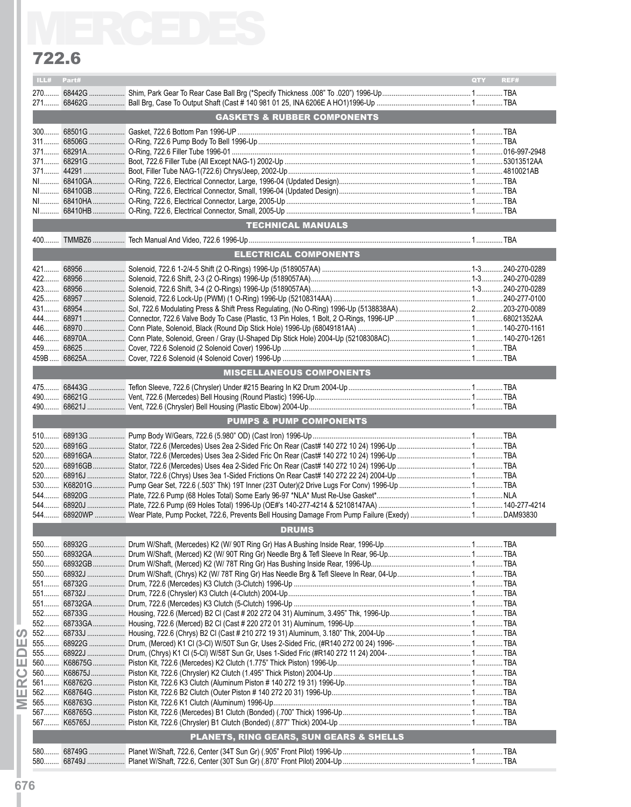### 722.6

|      | 722.6 |                                         |     |      |
|------|-------|-----------------------------------------|-----|------|
| ILL# | Part# |                                         | QTY | REF# |
|      |       |                                         |     |      |
|      |       | <b>GASKETS &amp; RUBBER COMPONENTS</b>  |     |      |
|      |       |                                         |     |      |
|      |       |                                         |     |      |
|      |       |                                         |     |      |
|      |       |                                         |     |      |
|      |       |                                         |     |      |
|      |       |                                         |     |      |
|      |       |                                         |     |      |
|      |       |                                         |     |      |
|      |       | <b>TECHNICAL MANUALS</b>                |     |      |
|      |       |                                         |     |      |
|      |       | ELECTRICAL COMPONENTS                   |     |      |
|      |       |                                         |     |      |
|      |       |                                         |     |      |
|      |       |                                         |     |      |
|      |       |                                         |     |      |
|      |       |                                         |     |      |
|      |       |                                         |     |      |
|      |       |                                         |     |      |
|      |       |                                         |     |      |
|      |       |                                         |     |      |
|      |       | <b>MISCELLANEOUS COMPONENTS</b>         |     |      |
|      |       |                                         |     |      |
|      |       |                                         |     |      |
|      |       |                                         |     |      |
|      |       | <b>PUMPS &amp; PUMP COMPONENTS</b>      |     |      |
|      |       |                                         |     |      |
|      |       |                                         |     |      |
|      |       |                                         |     |      |
|      |       |                                         |     |      |
|      |       |                                         |     |      |
|      |       |                                         |     |      |
|      |       |                                         |     |      |
|      |       |                                         |     |      |
|      |       |                                         |     |      |
|      |       | <b>DRUMS</b>                            |     |      |
|      |       |                                         |     |      |
|      |       |                                         |     |      |
|      |       |                                         |     |      |
|      |       |                                         |     |      |
|      |       |                                         |     |      |
|      |       |                                         |     |      |
|      |       |                                         |     |      |
|      |       |                                         |     |      |
|      |       |                                         |     |      |
|      |       |                                         |     |      |
|      |       |                                         |     |      |
|      |       |                                         |     |      |
|      |       |                                         |     |      |
|      |       |                                         |     |      |
|      |       |                                         |     |      |
|      |       |                                         |     |      |
|      |       |                                         |     |      |
|      |       | PLANETS, RING GEARS, SUN GEARS & SHELLS |     |      |
|      |       |                                         |     |      |
|      |       |                                         |     |      |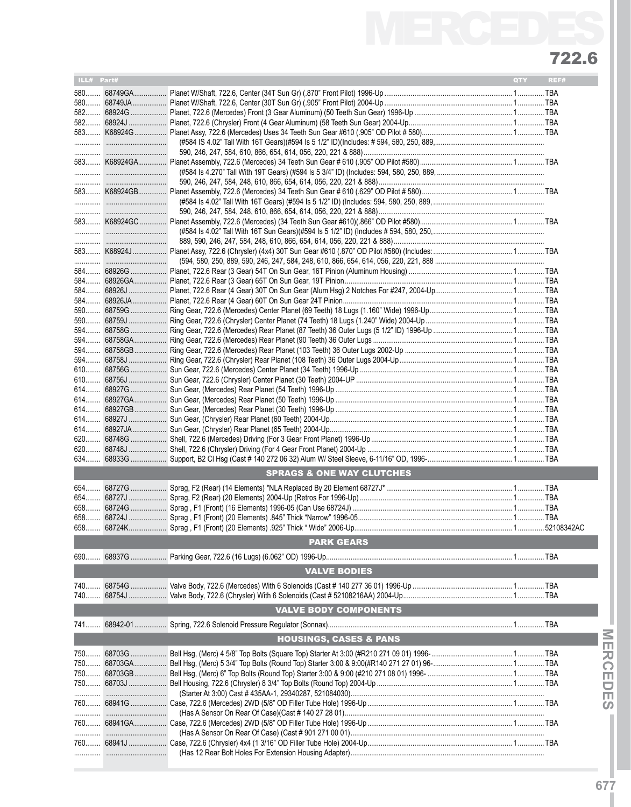# MERCEDES 722.6

| ILL# Part# |             |                                      | QTY | REF# |
|------------|-------------|--------------------------------------|-----|------|
|            |             |                                      |     |      |
|            |             |                                      |     |      |
|            |             |                                      |     |      |
|            | 582 68924J  |                                      |     |      |
|            |             |                                      |     |      |
|            |             |                                      |     |      |
|            |             |                                      |     |      |
|            |             |                                      |     |      |
|            |             |                                      |     |      |
|            |             |                                      |     |      |
|            |             |                                      |     |      |
|            |             |                                      |     |      |
|            |             |                                      |     |      |
|            |             |                                      |     |      |
|            |             |                                      |     |      |
|            |             |                                      |     |      |
|            |             |                                      |     |      |
|            |             |                                      |     |      |
|            |             |                                      |     |      |
|            |             |                                      |     |      |
|            |             |                                      |     |      |
|            |             |                                      |     |      |
|            |             |                                      |     |      |
|            | 590  68759J |                                      |     |      |
|            |             |                                      |     |      |
|            |             |                                      |     |      |
|            |             |                                      |     |      |
|            |             |                                      |     |      |
|            |             |                                      |     |      |
|            |             |                                      |     |      |
|            |             |                                      |     |      |
|            |             |                                      |     |      |
|            |             |                                      |     |      |
|            |             |                                      |     |      |
|            |             |                                      |     |      |
|            |             |                                      |     |      |
|            |             |                                      |     |      |
|            |             |                                      |     |      |
|            |             |                                      |     |      |
|            |             | <b>SPRAGS &amp; ONE WAY CLUTCHES</b> |     |      |
|            |             |                                      |     |      |
|            |             |                                      |     |      |
|            |             |                                      |     |      |
|            |             |                                      |     |      |
|            |             |                                      |     |      |
|            |             |                                      |     |      |
|            |             | <b>PARK GEARS</b>                    |     |      |
|            |             |                                      |     |      |
|            |             |                                      |     |      |
|            |             | <b>VALVE BODIES</b>                  |     |      |
|            |             |                                      |     |      |
|            |             |                                      |     |      |
|            |             | <b>VALVE BODY COMPONENTS</b>         |     |      |
|            |             |                                      |     |      |
|            |             |                                      |     |      |
|            |             | <b>HOUSINGS, CASES &amp; PANS</b>    |     |      |
|            |             |                                      |     |      |
|            |             |                                      |     |      |
|            | 750 68703GA |                                      |     |      |
|            |             |                                      |     |      |
|            |             |                                      |     |      |
|            |             |                                      |     |      |
|            | 760  68941G |                                      |     |      |
|            |             |                                      |     |      |
|            |             |                                      |     |      |
|            |             |                                      |     |      |
|            | 760 68941J  |                                      |     |      |
|            |             |                                      |     |      |
|            |             |                                      |     |      |

**MERCEDES IMERCEDESI**

Ì

**677**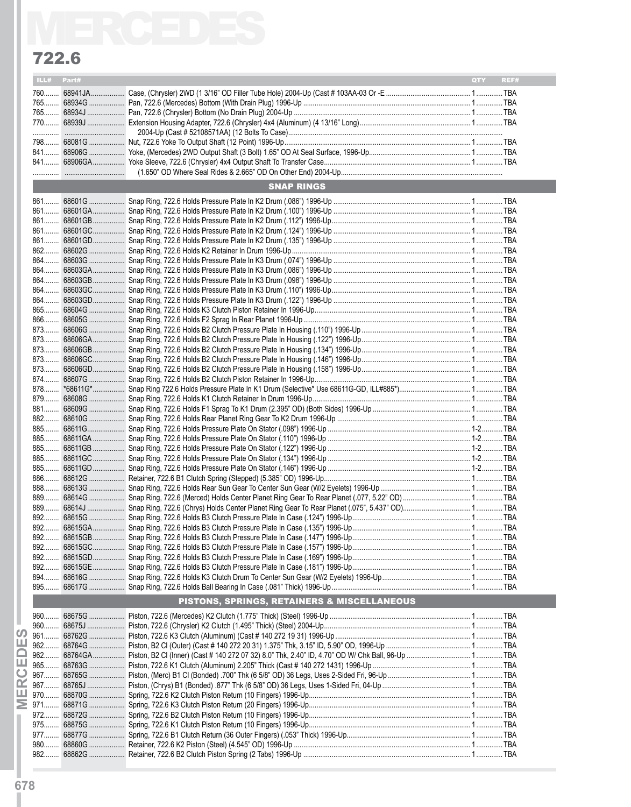### 722.6

|      | 722.6 |                                             |            |      |
|------|-------|---------------------------------------------|------------|------|
| ILL# | Part# |                                             | <b>OTY</b> | REF# |
|      |       |                                             |            |      |
|      |       |                                             |            |      |
|      |       |                                             |            |      |
|      |       |                                             |            |      |
|      |       |                                             |            |      |
|      |       |                                             |            |      |
|      |       |                                             |            |      |
|      |       |                                             |            |      |
|      |       | <b>SNAP RINGS</b>                           |            |      |
|      |       |                                             |            |      |
|      |       |                                             |            |      |
|      |       |                                             |            |      |
|      |       |                                             |            |      |
|      |       |                                             |            |      |
|      |       |                                             |            |      |
|      |       |                                             |            |      |
|      |       |                                             |            |      |
|      |       |                                             |            |      |
|      |       |                                             |            |      |
|      |       |                                             |            |      |
|      |       |                                             |            |      |
|      |       |                                             |            |      |
|      |       |                                             |            |      |
|      |       |                                             |            |      |
|      |       |                                             |            |      |
|      |       |                                             |            |      |
|      |       |                                             |            |      |
|      |       |                                             |            |      |
|      |       |                                             |            |      |
|      |       |                                             |            |      |
|      |       |                                             |            |      |
|      |       |                                             |            |      |
|      |       |                                             |            |      |
|      |       |                                             |            |      |
| 885  |       |                                             |            |      |
|      |       |                                             |            |      |
|      |       |                                             |            |      |
|      |       |                                             |            |      |
|      |       |                                             |            |      |
|      |       |                                             |            |      |
|      |       |                                             |            |      |
|      |       |                                             |            |      |
|      |       |                                             |            |      |
|      |       |                                             |            |      |
|      |       |                                             |            |      |
|      |       |                                             |            |      |
|      |       | PISTONS, SPRINGS, RETAINERS & MISCELLANEOUS |            |      |
|      |       |                                             |            |      |
|      |       |                                             |            |      |
|      |       |                                             |            |      |
|      |       |                                             |            |      |
|      |       |                                             |            |      |
|      |       |                                             |            |      |
|      |       |                                             |            |      |
|      |       |                                             |            |      |
|      |       |                                             |            |      |
|      |       |                                             |            |      |
|      |       |                                             |            |      |
|      |       |                                             |            |      |
|      |       |                                             |            |      |
|      |       |                                             |            |      |
|      |       |                                             |            |      |